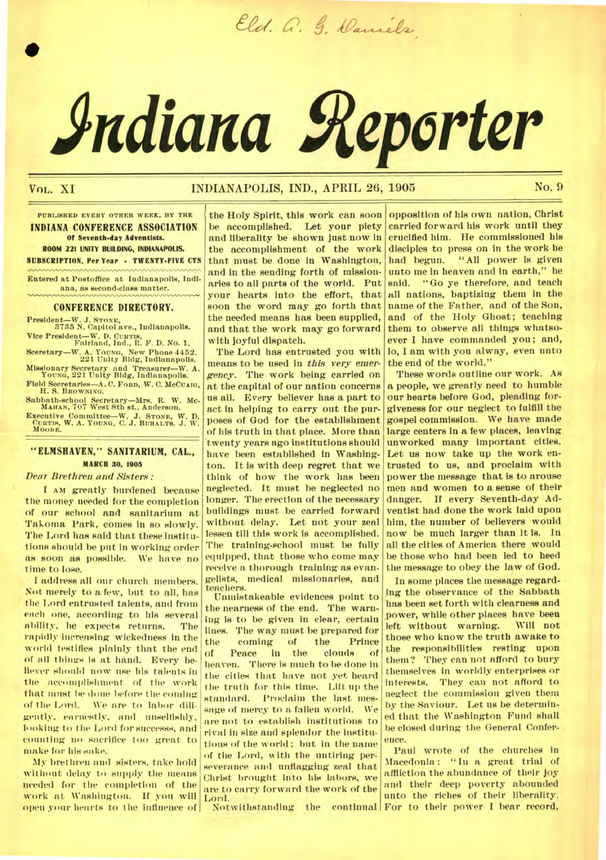Eld. G. G. Daniels

# **Adiana Reporter**

•

# VOL. XI INDIANAPOLIS, IND., APRIL 26, 1905 No. 9

**PUBLISHED EVERY OTHER WEEK, BY THE INDIANA CONFERENCE ASSOCIATION Of Seventh-day Adventists. ROOM 221 UNITY BUILDING, INDIANAPOLIS. SUBSCRIPTION. Per Year · TWENTY-FIVE CTS** 

**Entered at Postoffice at Indianapolis, Indiana, as second-class matter.** 

#### **CONFERENCE DIRECTORY.**

**President—W. J. STONE, 3735 N. Capitol ave., Indianapolis. Vice President—W. D. CURTIS, Fairland, Ind., R. F. D. No. 1.** 

**Sceretary—W. A. YOUNG, New Phone 4452. 221 Unity Bldg, Indianapolis. Missionary Secretary and Treasurer—W. A. YOUNG, 221 Unity Bldg, Indianapolis. Field Secretaries—A. C. FORD, W. C. McCusm, H. S. BROWNING.** 

**Sabbath-school Secretary—Mrs. R. W. Mc-MAHAN, 707 West 8th at.. Anderson. Executive Committee—W. J. STONE, W. D. CURTIN, W. A. YOUNG, C. J. BUHALTS. J. W. MOORE.** 

# **"ELMSRAVEN," SANITARIUM, CAL., MARCH 30, 1905**

#### *Dear Brethren and Sistem :*

*I AM* greatly burdened because the money needed for the completion of our school and sanitarium at Takoma Park, comes in so slowly. The Lord has said that these institutions should be put in working order as soon as possible. We have no time to lose.

I address all our church members. Not merely to a few, but to all, has the Lord entrusted talents, and from each one, according to his several ability. he expects returns. The rapidly increasing wickedness in the world testifies plainly that the end of all things is at hand. Every believer should now use his talents in the accomplishment of the work that must be done before the coming of the Lord. We are to labor diligently, earnestly, and unselfishly, looking to the Lord for muccesss, and counting no sacrifice too great to make for his sake.

My **brethren** and sisters, take hold without delay to supply the means needed for the completion of the work at Washington. If you will open your hearts to the influence of

the Holy Spirit, this work can soon be accomplished. Let your piety and liberality be shown just now in the accomplishment of the work that must be done in Washington, and in the sending forth of missionaries to all parts of the world. Put your hearts into the effort, that soon the word may go forth that the needed means has been supplied, and that the work may go forward with joyful dispatch.

The Lord has entrusted you with means to be used in *this very emergency.* The work being carried on at the capital of our nation concerns us all. Every believer has a part to act in helping to carry out the purposes of God for the establishment of his truth in that place. More than 'twenty years ago institutions should have been established in Washington. It is with deep regret that we think of how the work has been neglected. It must be neglected no longer. The erection of the necessary buildings must be carried forward without delay. Let not your zeal lessen till this work is accomplished. The training-school must be fully equipped, that those who come may receive a thorough training as evangelists, medical missionaries, and teachers.

Unmistakeable evidences point to the nearness of the end. The warning is to be given in clear, certain lines. The way must be prepared for<br>the coming of the Prince the coming of the Prince<br>of Peace in the clouds of heaven. There is much to be done in the cities that have not yet heard the truth for this time. Lift up the standard. Proclaim the last message of mercy to a fallen world. We are not to establish institutions to rival in size and splendor the institutions of the world ; but in the name of the Lord, with the untiring perseverance and unflagging zeal that Christ brought into his labors, we are to carry forward the work of the<br>Lord.

opposition of his own nation, Christ carried forward his work until they crucified him. He commissioned his disciples to press on in the work he had begun. "All power is given unto me in heaven and in earth," he said. "Go ye therefore, and teach all nations, baptizing them in the name of the Father, and of the Son, and of the Holy Ghost; teaching them to observe all things whatsoever I have commanded you; and, lo, I am with you alway, even unto the end of the world."

These words outline our work. As a people, we greatly need to humble our hearts before God, pleading forgiveness for our neglect to fulfill the gospel commission. We have made large centers in a few places, leaving unworked many important cities. Let us now take up the work entrusted to us, and proclaim with power the message that is to arouse men and women to a sense of their danger. If every Seventh-day Adventist had done the work laid upon him, the number of believers would now be much larger than it is. In all the cities of America there would be those who had been led to heed the message to obey the law of God.

In some places the message regarding the observance of the Sabbath *has* been set forth with clearness and power, while other places have been left without warning. Will not those who know the truth awake to the responsibilities resting upon them? They can not afford to bury themselves in worldly enterprises or interests. They can not afford to neglect the commission given them by the Saviour. Let us be determined that the Washington Fund shall be closed during the General Conference.

Lord. • Notwithstanding the continual For to their power I bear record, Paul wrote of the churches in Macedonia: "In a great trial of affliction the abundance of their joy and their deep poverty abounded unto the riches of their liberality.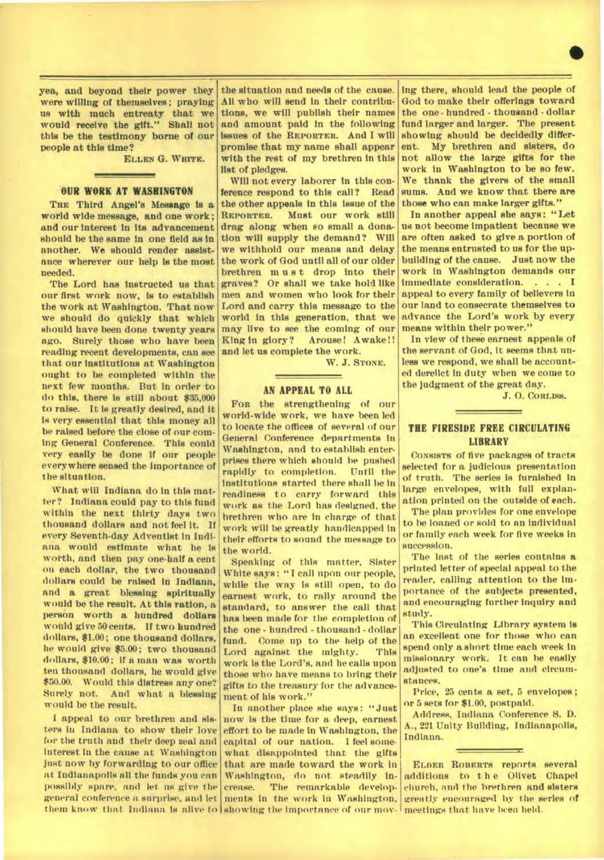**yea, and beyond their power they were willing of themselves ; praying us with much entreaty that we would receive the gift." Shall not this be the testimony borne of our people at this time?** 

**ELLEN G. WHITE.** 

#### **OUR WORK AT WASHINGTON**

**THE Third Angel's Message is a world wide message, and one work ; and our interest in its advancement should be the same in one field as in another. We should render assistance wherever our help is the most needed.** 

**The Lord has instructed us that our first work now, is to establish the work at Washington. That now we should do quickly that which should have** *been* **done twenty years ago. Surely those who have been reading recent developments, can see that our institutions at Washington ought to be completed within the next few months. But in order to do this, there is still about \$35,000 to raise. It Is greatly desired, and it is very essential that this money all be raised before the close of our coming General Conference. This could very easily be done if our people everywhere sensed the importance of the situation.** 

**What will Indiana do in this matter? Indiana could pay to this fund within the next thirty days two thousand dollars and not feel it. If every Seventh-day Adventist in Indiana would estimate what he is worth, and then pay one-half a cent on each dollar, the two thousand dollars could be raised In Indiana, and** *a* **great blessing spiritually would be the result. At this ration, a person worth a hundred dollars would give 50 cents. If two hundred dollars, \$1.00; one thousand dollars, he would give \$5.00; two thousand dollars, \$10.00; if a man was worth ten thousand dollars, he would** *give*  **\$50.00. Would this distress any one?**  And what a blessing **would be the result.** 

**I appeal to our brethren and sisters in Indiana to show their love for the truth and their deep zeal and interest in the cause at Washington just now by forwarding to our office at Indianapolis all the funds you can possibly spare, and let us give the general conference a. surprise, and let** 

**the situation and needs of the cause. All who will send in their contributions, we will publish their names and amount paid in the following issues of the REPORTER. And I will promise that my name shall appear with the rest of my brethren in this list of pledges.** 

**Will not every laborer in this conference respond to this call? Read the other appeals in this issue of the REPORTER. Must our work still drag along when so small a donation will supply the demand? Will we withhold our means and delay the work of God until all of our older brethren must drop into their graves? Or shall we take hold like men and women who look for their Lord and carry this message to the world in this generation, that we may live to see the coming of our**  King in glory? **and let us complete the work.** 

**W. J. STONE.** 

## **AN APPEAL TO ALL**

**FOR the strengthening of our world-wide work, we have been led to locate the offices of several of our General Conference departments in Washington, and to establish enterprises there which should be pushed rapidly to completion. Until the institutions started there shall be in readiness to carry forward this work as the Lord has designed, the brethren who are in charge of that work will be greatly handicapped in their efforts to sound the message to the world.** 

**Speaking of this matter, Sister White says: "I call upon our people, while the way is still open, to do earnest work, to rally around the standard, to answer the call that has been made for the completion of the one - hundred - thousand - dollar fund. Come up to the help of the**  Lord against the mighty. **work is the Lord's, and he calls upon those who have means to bring their gifts to the treasury for the advancement of his work."** 

**them know that Indiana is alive to**  showing the importance **of our mov-**meetings that have **been held. In another place she says: "Just now is the time for a deep, earnest effort to be made in Washington, the capital of our nation. I feel somewhat disappointed that the gifts that are made toward the work in**  Washington, do not steadily increase. The remarkable developments in the work in Washington,

**ing there, should lead the people of God to make their offerings toward the one - hundred - thousand - dollar fund larger and larger. The present showing should be decidedly different. My brethren and sisters, do not allow the large gifts for the work in Washington to** *be* **so few. We thank the givers of the small sums. And we know that there are those who can make larger gifts."** 

•

**In another appeal she says: "Let us not become impatient because we are often asked to give a portion of the means entrusted to us for the upbuilding of the cause. Just now the work in Washington demands our immediate consideration. . . . I appeal to every family of believers in our land to consecrate themselves to advance the Lord's work by every means within their power."** 

**In view of these earnest appeals of the servant of God, it seems that unless we respond, we shall be accounted derelict in duty when we come to the judgment of the great day.** 

**J. 0. CORLISS.** 

# **THE FIRESIDE FREE CIRCULATING LIBRARY**

**CONSISTS of five packages** of tracts selected for a judicious presentation of truth. The series is furnished in large envelopes, with full explanation printed on the outside of each.

The plan provides for one envelope to he loaned or sold to an individual or family each week for five weeks in succession.

The last of the series contains **a printed letter** of special appeal to the reader, calling attention to the importance of the subjects presented, and encouraging further inquiry and study.

This Circulating Library system is an excellent one for those who can spend only a short time each week in missionary work. It can be easily adjusted to one's time and circumstances.

Price, 25 cents a set, 5 envelopes ; nr **5 sets for \$1.00, postpaid.** 

**Address, Indiana Conference S. D. A., 221 Unity Building, Indianapolis, Indiana.** 

ELDER ROBERTS reports several **additions to t h e Olivet Chapel church, and the brethren and** sisters greatly encouraged by the series of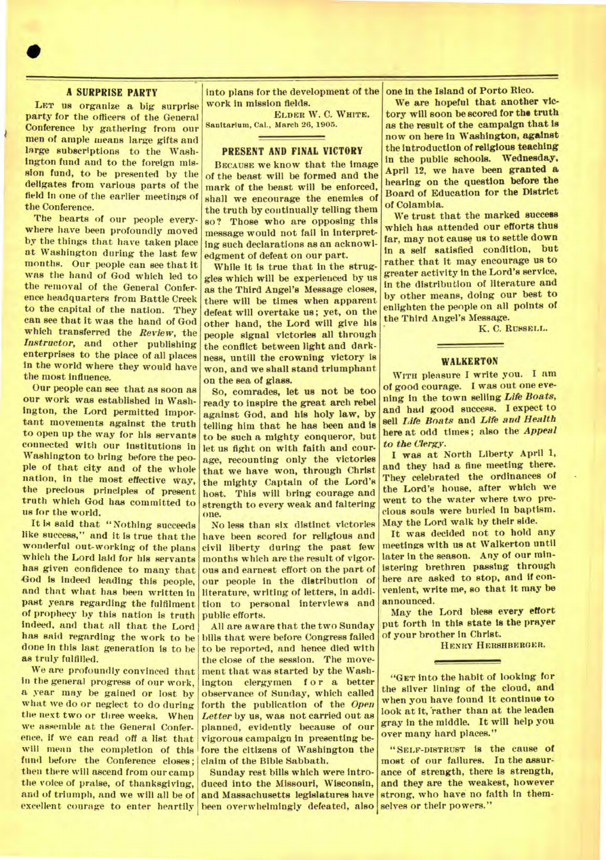# **A SURPRISE PARTY**

**LET us organize a big surprise party for the officers of the General Conference by gathering from our men of ample means large gifts and large subscriptions to the Washington fund and to the foreign mission fund, to be presented by the deligates from various parts of the field in one of the earlier meetings of the Conference.** 

**The hearts of our people everywhere have been profoundly moved by the things that have taken place at Washington during the last few months. Our**, **people can see that it was the hand of God which led to the removal of the General Confer. ence headquarters from Battle Creek to the capital of the nation. They can see that it was the hand of God which transferred the** *Review,* **the**  *Instructor,* **and other publishing enterprises to the place of all places in the world where they would have the most influence.** 

**Our people can see that as soon as our work was established in Washington, the Lord permitted important movements against the truth to open up the way for his servants connected with our institutions in Washington to bring before the people of that city and of the whole nation, in the most effective way, the precious principles of present truth which God has committed to us for the world.** 

**It is said that "Nothing succeeds like success," and it is true that the wonderful out-working of the plans which the Lord laid for his servants has given confidence to many that God is indeed leading this people, and that what has been written in past years regarding the fulfilment of prophecy by this nation is truth indeed, and that all that the Lord**  *has* **said regarding the work to be done in this last generation is to be as truly fulfilled.** 

**We are profoundly convinced that in the general progress of our work, a year may be gained or lost by what we do or neglect to do during the next two or three weeks. When we assemble at the General Conference, if we can read off a list that will mean the completion of this fund before the Conference closes; then there will ascend from our camp the voice of praise, of thanksgiving, and of triumph, and we will all be of excellent courage to enter heartily**  **Into plans for the development of the work in mission fields.** 

**ELDER W. C. WHITE. Sanitarium, Cal., March 26, 1905.** 

### **PRESENT AND FINAL VICTORY**

**BECAUSE we know that the image of the beast will be formed and the mark of the beast will be enforced, shall we encourage the enemies of the truth by continually telling them so? Those who are opposing this message would not fail in interpreting such declarations as an acknowledgment of defeat on our part.** 

**While It is true that in the struggles which will be experienced by us as the Third Angel's Message closes, there will be times when apparent defeat will overtake us; yet, on the other hand, the Lord will give his people signal victories all through the conflict between light and darkness, untill the crowning victory is won, and we shall stand triumphant on the sea of glass.** 

**So, comrades, let us not be too ready to inspire the great arch rebel against God, and his holy law, by telling him that he has been and is to be such a mighty conqueror, but let us fight on with faith and courage, recounting only the victories that we have won, through Christ the mighty Captain of the Lord's host. This will bring courage and strength to every weak and faltering one.** 

**No less than six distinct victories have been scored for religious and civil liberty during the past few months which are the result of vigorous and earnest effort on the part of our people in the distribution of literature, writing of letters, in addition to personal interviews and public efforts.** 

**All are aware that the two Sunday bills that were before Congress failed to be reported, and hence died with the close of the session. The movement that was started by the Washington clergymen f or a better observance of Sunday, which called forth the publication of the** *Open Letter by* **us, was not carried out** *as*  **planned, evidently because of our vigorous campaign in presenting before the citizens of Washington the claim of the Bible Sabbath.** 

**Sunday rest bills which were introduced into the Missouri, Wisconsin, and Massachusetts legislatures have been overwhelmingly defeated, also selves or their powers."** 

**one in the Island of Porto Rico.** 

**We are hopeful that another victory will soon be scored for the truth as the result of the campaign that is now on here in Washington, against the introduction of religious teaching in the public schools. Wednesday, April 12, we have been granted a hearing on the question before the Board of Education for the District of Colambia.** 

**We trust that the marked success which has attended our efforts thus far, may not cause us to settle down in a self satisfied condition, but rather that it may encourage us to greater activity in the Lord's service, in the distribution of literature and by other means, doing our best to enlighten the people on all points of the Third Angel's Message.** 

K. C. RUSSELL.

#### **WALKERTON**

**WITH pleasure I write you. I am of good courage. I** *was* **out one evening in the town selling** *Life Boats,*  **and had good success. I expect to sell** *Life Boats* **and** *Life and Health*  **here at odd times; also the** *Appeal to the Clergy.* 

**I was at North Liberty April 1, and they had a fine meeting there. They celebrated the ordinances of the Lord's house, after which we went to the water where two precious souls were buried in baptism. May the Lord walk by their side.** 

**It was decided not to hold any meetings with us at Walkerton until later in the season. Any of our ministering brethren passing through here are asked to stop, and if convenient, write me, so that it may be announced.** 

**May the Lord bless every effort put forth in this state is the prayer of your brother in Christ.** 

**HENRY HERSHBERGER.** 

**"GET into the habit of looking for the silver lining of the cloud, and when you have found it continue to look at it, 'rather than at the leaden gray in the middle. It will help you over many hard places."** 

**"SELF-DISTRUST is the cause of most of our failures. In the assurance of strength, there is strength, and they are the weakest, however strong, who have no faith in them-**